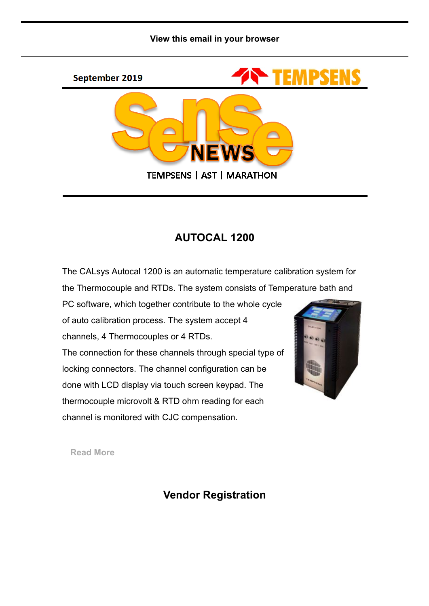



#### AUTOCAL 1200

The CALsys Autocal 1200 is an automatic temperature calibration system for the Thermocouple and RTDs. The system consists of Temperature bath and

PC software, which together contribute to the whole cycle of auto calibration process. The system accept 4 channels, 4 Thermocouples or 4 RTDs. The connection for these channels through special type of locking connectors. The channel configuration can be done with LCD display via touch screen keypad. The thermocouple microvolt & RTD ohm reading for each channel is monitored with CJC compensation.



[Read More](http://www.tempsens.com/pdf/newproduct/Autocal-1200.pdf)

#### Vendor Registration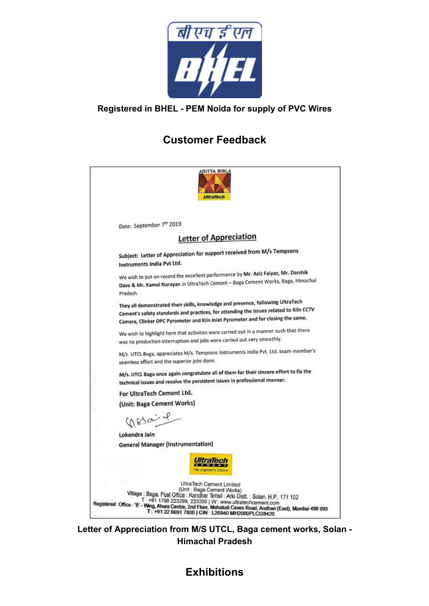

#### Registered in BHEL - PEM Noida for supply of PVC Wires

# Customer Feedback



Letter of Appreciation from M/S UTCL, Baga cement works, Solan - Himachal Pradesh

# **Exhibitions**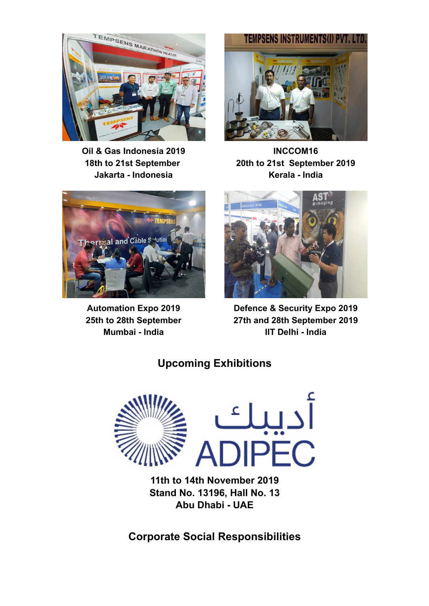

Oil & Gas Indonesia 2019 18th to 21st September Jakarta - Indonesia



INCCOM16 20th to 21st September 2019 Kerala - India



Automation Expo 2019 25th to 28th September Mumbai - India



Defence & Security Expo 2019 27th and 28th September 2019 IIT Delhi - India

# Upcoming Exhibitions



Stand No. 13196, Hall No. 13 Abu Dhabi - UAE

Corporate Social Responsibilities